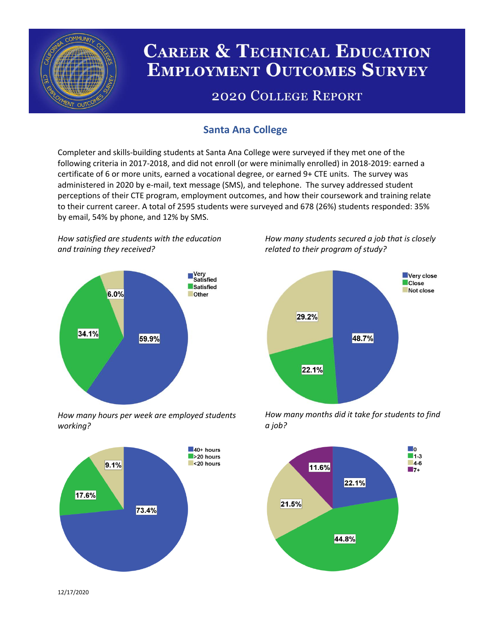

# **CAREER & TECHNICAL EDUCATION EMPLOYMENT OUTCOMES SURVEY**

## **2020 COLLEGE REPORT**

## **Santa Ana College**

Completer and skills-building students at Santa Ana College were surveyed if they met one of the following criteria in 2017-2018, and did not enroll (or were minimally enrolled) in 2018-2019: earned a certificate of 6 or more units, earned a vocational degree, or earned 9+ CTE units. The survey was administered in 2020 by e-mail, text message (SMS), and telephone. The survey addressed student perceptions of their CTE program, employment outcomes, and how their coursework and training relate to their current career. A total of 2595 students were surveyed and 678 (26%) students responded: 35% by email, 54% by phone, and 12% by SMS.

*How satisfied are students with the education and training they received?*



*How many hours per week are employed students working?*



*How many students secured a job that is closely related to their program of study?*



*How many months did it take for students to find a job?*



12/17/2020